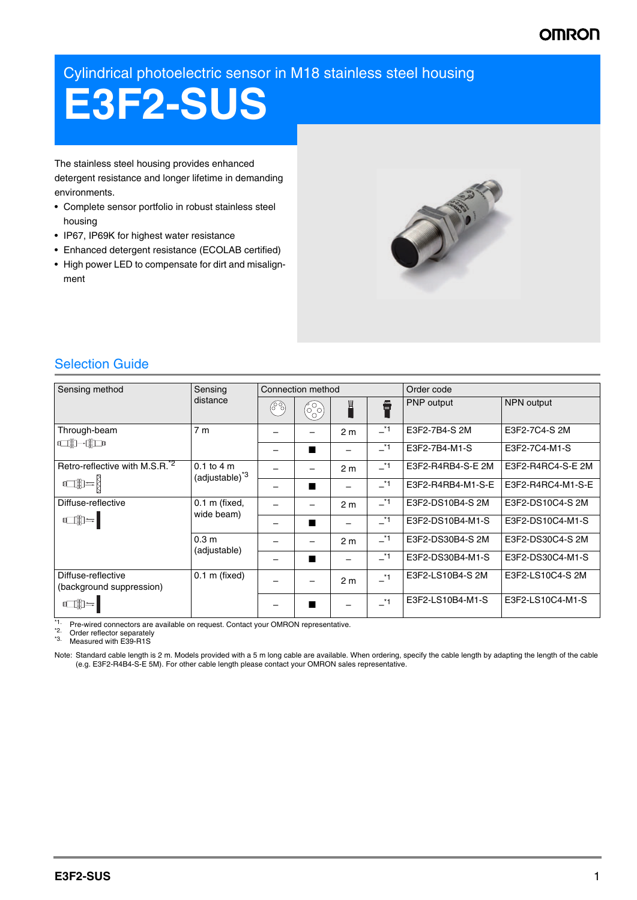## **OMRO**

Cylindrical photoelectric sensor in M18 stainless steel housing

# **E3F2-SUS**

The stainless steel housing provides enhanced detergent resistance and longer lifetime in demanding environments.

- Complete sensor portfolio in robust stainless steel housing
- IP67, IP69K for highest water resistance
- Enhanced detergent resistance (ECOLAB certified)
- High power LED to compensate for dirt and misalignment



### Selection Guide

| Sensing method                                                        | Sensing<br>distance                                  | Connection method |    |                |         | Order code        |                   |
|-----------------------------------------------------------------------|------------------------------------------------------|-------------------|----|----------------|---------|-------------------|-------------------|
|                                                                       |                                                      | (၉%)              | 69 | Щ              | 8       | <b>PNP</b> output | <b>NPN</b> output |
| Through-beam                                                          | 7 <sub>m</sub>                                       |                   |    | 2 <sub>m</sub> | $-1$    | E3F2-7B4-S 2M     | E3F2-7C4-S 2M     |
| <b>adi)-dido</b>                                                      |                                                      |                   |    |                | $\_^*1$ | E3F2-7B4-M1-S     | E3F2-7C4-M1-S     |
| Retro-reflective with M.S.R. <sup>2</sup>                             | $0.1$ to $4 \text{ m}$<br>(adjustable) <sup>*3</sup> |                   |    | 2 <sub>m</sub> | $\_^*1$ | E3F2-R4RB4-S-E 2M | E3F2-R4RC4-S-E 2M |
|                                                                       |                                                      |                   |    |                | $\_^*1$ | E3F2-R4RB4-M1-S-E | E3F2-R4RC4-M1-S-E |
| Diffuse-reflective<br>$\mathbb{C}$                                    | $0.1$ m (fixed,<br>wide beam)                        |                   |    | 2 <sub>m</sub> | $-1$    | E3F2-DS10B4-S 2M  | E3F2-DS10C4-S 2M  |
|                                                                       |                                                      |                   |    |                | $-1$    | E3F2-DS10B4-M1-S  | E3F2-DS10C4-M1-S  |
|                                                                       | 0.3 <sub>m</sub><br>(adjustable)                     |                   |    | 2 <sub>m</sub> | $-1$    | E3F2-DS30B4-S 2M  | E3F2-DS30C4-S 2M  |
|                                                                       |                                                      |                   |    |                | $-1$    | E3F2-DS30B4-M1-S  | E3F2-DS30C4-M1-S  |
| Diffuse-reflective<br>(background suppression)<br>$\Box \mathbb{D} =$ | $0.1$ m (fixed)                                      |                   |    | 2 <sub>m</sub> | $\_^*1$ | E3F2-LS10B4-S 2M  | E3F2-LS10C4-S 2M  |
|                                                                       |                                                      |                   |    |                | $*1$    | E3F2-LS10B4-M1-S  | E3F2-LS10C4-M1-S  |

\*1. Pre-wired connectors are available on request. Contact your OMRON representative.

\*2. Order reflector separately<br> $*3$ . Measured with  $F39 - B15$ Measured with E39-R1S

Note: Standard cable length is 2 m. Models provided with a 5 m long cable are available. When ordering, specify the cable length by adapting the length of the cable (e.g. E3F2-R4B4-S-E 5M). For other cable length please contact your OMRON sales representative.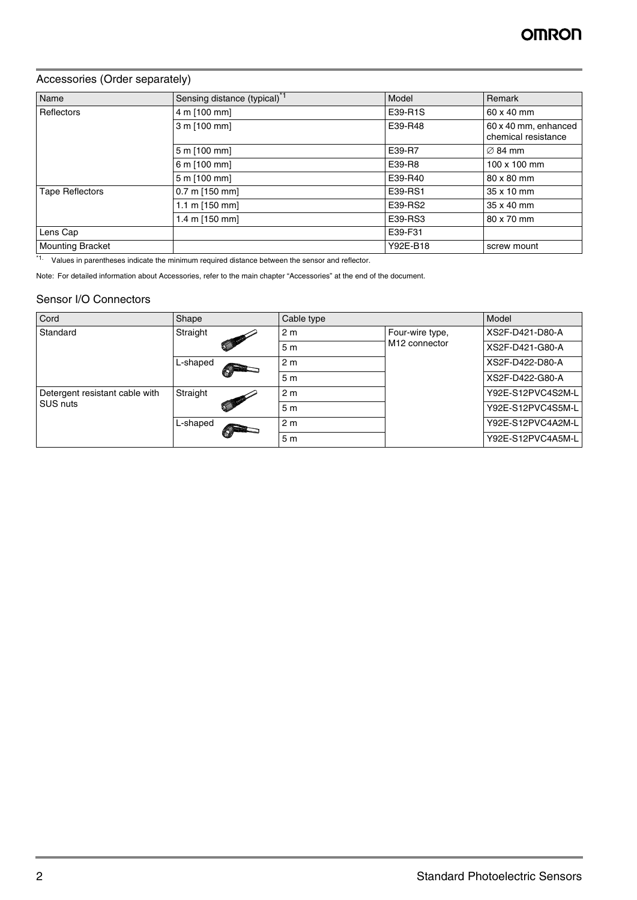#### Accessories (Order separately)

| Name                    | Sensing distance (typical) <sup>*1</sup> | Model    | Remark                                      |
|-------------------------|------------------------------------------|----------|---------------------------------------------|
| Reflectors              | 4 m [100 mm]                             | E39-R1S  | 60 x 40 mm                                  |
|                         | 3 m [100 mm]                             | E39-R48  | 60 x 40 mm, enhanced<br>chemical resistance |
|                         | 5 m [100 mm]                             | E39-R7   | $\varnothing$ 84 mm                         |
|                         | 6 m [100 mm]                             | E39-R8   | 100 x 100 mm                                |
|                         | 5 m [100 mm]                             | E39-R40  | 80 x 80 mm                                  |
| <b>Tape Reflectors</b>  | $0.7 \text{ m}$ [150 mm]                 | E39-RS1  | 35 x 10 mm                                  |
|                         | 1.1 m $[150$ mm]                         | E39-RS2  | 35 x 40 mm                                  |
|                         | 1.4 m [150 mm]                           | E39-RS3  | 80 x 70 mm                                  |
| Lens Cap                |                                          | E39-F31  |                                             |
| <b>Mounting Bracket</b> |                                          | Y92E-B18 | screw mount                                 |

\*1. Values in parentheses indicate the minimum required distance between the sensor and reflector.

Note: For detailed information about Accessories, refer to the main chapter "Accessories" at the end of the document.

#### Sensor I/O Connectors

| Cord                           | Shape                                                                                                                                                                                                                                            | Cable type     |                                              | Model             |
|--------------------------------|--------------------------------------------------------------------------------------------------------------------------------------------------------------------------------------------------------------------------------------------------|----------------|----------------------------------------------|-------------------|
| Standard                       | Straight<br><b>Contract Contract Contract Contract Contract Contract Contract Contract Contract Contract Contract Contract Contract Contract Contract Contract Contract Contract Contract Contract Contract Contract Contract Contract Contr</b> | 2 <sub>m</sub> | Four-wire type,<br>M <sub>12</sub> connector | XS2F-D421-D80-A   |
|                                |                                                                                                                                                                                                                                                  | 5 <sub>m</sub> |                                              | XS2F-D421-G80-A   |
|                                | L-shaped                                                                                                                                                                                                                                         | 2 <sub>m</sub> |                                              | XS2F-D422-D80-A   |
|                                |                                                                                                                                                                                                                                                  | 5 <sub>m</sub> |                                              | XS2F-D422-G80-A   |
| Detergent resistant cable with | Straight                                                                                                                                                                                                                                         | 2 <sub>m</sub> |                                              | Y92E-S12PVC4S2M-L |
| SUS nuts                       | <b>Contract Contract Contract Contract Contract Contract Contract Contract Contract Contract Contract Contract Contract Contract Contract Contract Contract Contract Contract Contract Contract Contract Contract Contract Contr</b>             | 5 <sub>m</sub> |                                              | Y92E-S12PVC4S5M-L |
|                                | L-shaped                                                                                                                                                                                                                                         | 2 <sub>m</sub> |                                              | Y92E-S12PVC4A2M-L |
|                                |                                                                                                                                                                                                                                                  | 5 <sub>m</sub> |                                              | Y92E-S12PVC4A5M-L |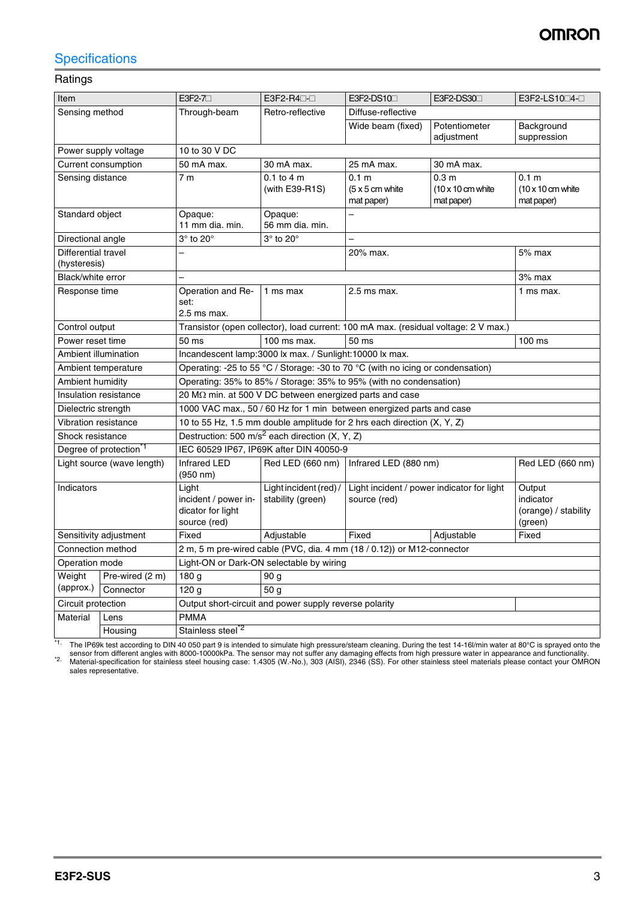## **Specifications**

#### Ratings

| Item                                |                                    | $E3F2-7$                                                                                           | $E3F2-R4\square$                                                | E3F2-DS10                                                                                                            | E3F2-DS30                                                          | E3F2-LS10□4-□                                                      |
|-------------------------------------|------------------------------------|----------------------------------------------------------------------------------------------------|-----------------------------------------------------------------|----------------------------------------------------------------------------------------------------------------------|--------------------------------------------------------------------|--------------------------------------------------------------------|
| Sensing method                      |                                    | Through-beam                                                                                       | Retro-reflective                                                | Diffuse-reflective                                                                                                   |                                                                    |                                                                    |
|                                     |                                    |                                                                                                    |                                                                 | Wide beam (fixed)                                                                                                    | Potentiometer                                                      | Background                                                         |
|                                     |                                    |                                                                                                    |                                                                 |                                                                                                                      | adjustment                                                         | suppression                                                        |
|                                     | Power supply voltage               | 10 to 30 V DC                                                                                      |                                                                 |                                                                                                                      |                                                                    |                                                                    |
|                                     | Current consumption                | 50 mA max.                                                                                         | 30 mA max.                                                      | 30 mA max.<br>25 mA max.                                                                                             |                                                                    |                                                                    |
| Sensing distance                    |                                    | 7 <sub>m</sub>                                                                                     | $0.1$ to $4$ m<br>(with E39-R1S)                                | 0.1 <sub>m</sub><br>$(5 \times 5 \text{ cm}$ white<br>mat paper)                                                     | 0.3 <sub>m</sub><br>$(10 \times 10 \text{ cm}$ white<br>mat paper) | 0.1 <sub>m</sub><br>$(10 \times 10 \text{ cm}$ white<br>mat paper) |
| Standard object                     |                                    | Opaque:<br>11 mm dia. min.                                                                         | Opaque:<br>56 mm dia. min.                                      |                                                                                                                      |                                                                    |                                                                    |
| Directional angle                   |                                    | $3^\circ$ to $20^\circ$                                                                            | $3^\circ$ to $20^\circ$                                         | $\overline{\phantom{0}}$                                                                                             |                                                                    |                                                                    |
| Differential travel<br>(hysteresis) |                                    |                                                                                                    |                                                                 | 20% max.                                                                                                             |                                                                    | 5% max                                                             |
| Black/white error                   |                                    |                                                                                                    |                                                                 |                                                                                                                      |                                                                    | 3% max                                                             |
| Response time                       |                                    | Operation and Re-<br>set:                                                                          | 1 ms max                                                        | $2.5$ ms max.                                                                                                        |                                                                    | 1 ms max.                                                          |
|                                     |                                    | 2.5 ms max.<br>Transistor (open collector), load current: 100 mA max. (residual voltage: 2 V max.) |                                                                 |                                                                                                                      |                                                                    |                                                                    |
| Control output<br>Power reset time  |                                    | 50 ms<br>100 ms max.<br>50 ms<br>100 ms                                                            |                                                                 |                                                                                                                      |                                                                    |                                                                    |
| Ambient illumination                |                                    | Incandescent lamp:3000 lx max. / Sunlight:10000 lx max.                                            |                                                                 |                                                                                                                      |                                                                    |                                                                    |
|                                     | Ambient temperature                | Operating: -25 to 55 °C / Storage: -30 to 70 °C (with no icing or condensation)                    |                                                                 |                                                                                                                      |                                                                    |                                                                    |
| Ambient humidity                    |                                    | Operating: 35% to 85% / Storage: 35% to 95% (with no condensation)                                 |                                                                 |                                                                                                                      |                                                                    |                                                                    |
| Insulation resistance               |                                    |                                                                                                    | 20 M $\Omega$ min. at 500 V DC between energized parts and case |                                                                                                                      |                                                                    |                                                                    |
| Dielectric strength                 |                                    |                                                                                                    |                                                                 | 1000 VAC max., 50 / 60 Hz for 1 min between energized parts and case                                                 |                                                                    |                                                                    |
| <b>Vibration resistance</b>         |                                    |                                                                                                    |                                                                 | 10 to 55 Hz, 1.5 mm double amplitude for 2 hrs each direction (X, Y, Z)                                              |                                                                    |                                                                    |
| Shock resistance                    |                                    |                                                                                                    | Destruction: 500 m/s <sup>2</sup> each direction $(X, Y, Z)$    |                                                                                                                      |                                                                    |                                                                    |
|                                     | Degree of protection <sup>*1</sup> |                                                                                                    | IEC 60529 IP67, IP69K after DIN 40050-9                         |                                                                                                                      |                                                                    |                                                                    |
|                                     | Light source (wave length)         | <b>Infrared LED</b><br>(950 nm)                                                                    | Red LED (660 nm)                                                | Infrared LED (880 nm)                                                                                                |                                                                    | Red LED (660 nm)                                                   |
| Indicators                          |                                    | Light<br>incident / power in-<br>dicator for light<br>source (red)                                 | Light incident (red) /<br>stability (green)                     | Light incident / power indicator for light<br>Output<br>indicator<br>source (red)<br>(orange) / stability<br>(green) |                                                                    |                                                                    |
|                                     | Sensitivity adjustment             | Fixed                                                                                              | Adjustable                                                      | Fixed                                                                                                                | Adjustable                                                         | Fixed                                                              |
| Connection method                   |                                    |                                                                                                    |                                                                 | 2 m, 5 m pre-wired cable (PVC, dia. 4 mm (18 / 0.12)) or M12-connector                                               |                                                                    |                                                                    |
| Operation mode                      |                                    | Light-ON or Dark-ON selectable by wiring                                                           |                                                                 |                                                                                                                      |                                                                    |                                                                    |
| Weight                              | Pre-wired (2 m)                    | 180 g                                                                                              | 90 <sub>q</sub>                                                 |                                                                                                                      |                                                                    |                                                                    |
| (approx.)                           | Connector                          | 120 <sub>g</sub>                                                                                   | 50 <sub>g</sub>                                                 |                                                                                                                      |                                                                    |                                                                    |
| Circuit protection                  |                                    |                                                                                                    | Output short-circuit and power supply reverse polarity          |                                                                                                                      |                                                                    |                                                                    |
| Material                            | Lens                               | <b>PMMA</b>                                                                                        |                                                                 |                                                                                                                      |                                                                    |                                                                    |
|                                     | Housing                            | Stainless steel <sup>*2</sup>                                                                      |                                                                 |                                                                                                                      |                                                                    |                                                                    |

<sup>\*1</sup>. The IP69k test according to DIN 40 050 part 9 is intended to simulate high pressure/steam cleaning. During the test 14-16l/min water at 80°C is sprayed onto the<br>sensor from different angles with 8000-10000kPa. The se

sales representative.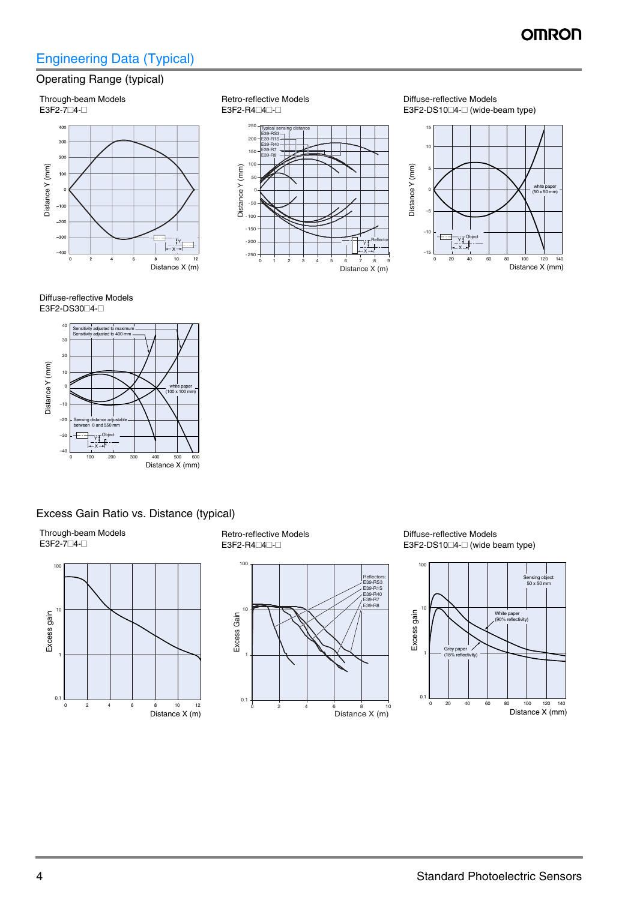## Engineering Data (Typical)

### Operating Range (typical)

#### Through-beam Models



Retro-reflective Models  $E3F2-R4\Box4\Box-$ 



Diffuse-reflective Models  $E3F2-DS10\square4-\square$  (wide-beam type)



#### Diffuse-reflective Models E3F2-DS30 4-



#### Excess Gain Ratio vs. Distance (typical)

Through-beam Models  $E3F2-7\Box 4$ - $\Box$ 



Retro-reflective Models  $E3F2-R4\Box4\Box-$ 



Diffuse-reflective Models  $E3F2-DS10\square4-\square$  (wide beam type)

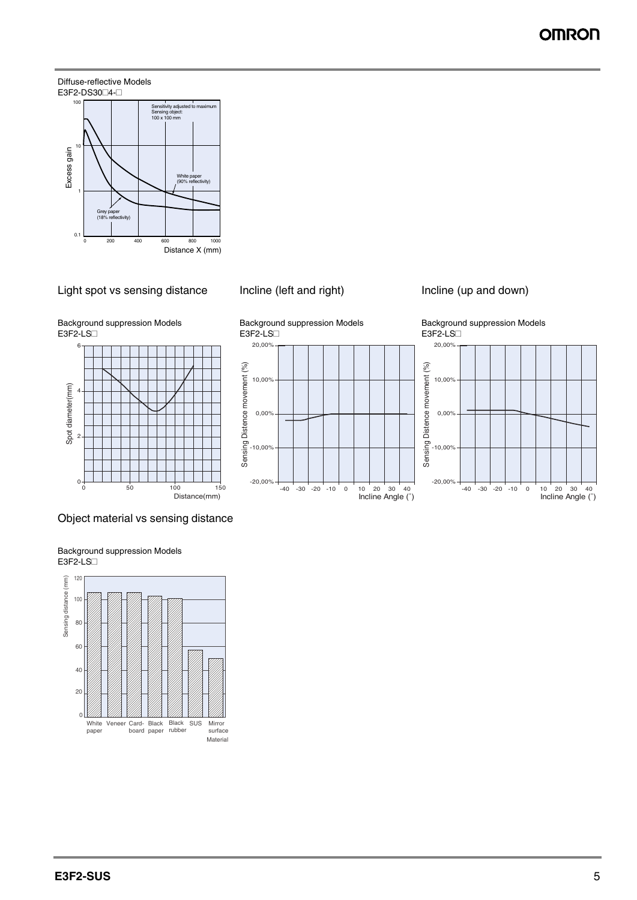## OMROI

#### Diffuse-reflective Models E3F2-DS30<sup>1</sup>4-<sup>1</sup>



#### Light spot vs sensing distance Incline (left and right) lncline (up and down)



-20,00%

 $-10,00$ 

 $0,00$ 

Background suppression Models  $E3F2-ES$ 6







-40 -30 -20 -10 0 10 20 30 40 Incline Angle (˚)



#### Object material vs sensing distance

Sensing distance (mm) 120 Sensing distance (mm)100 80 60 40 20  $0<sup>1</sup>$ **Black** SUS Mirror White Veneer Card-Black paper surface board paper rubber Material

Background suppression Models  $E3F2-ES$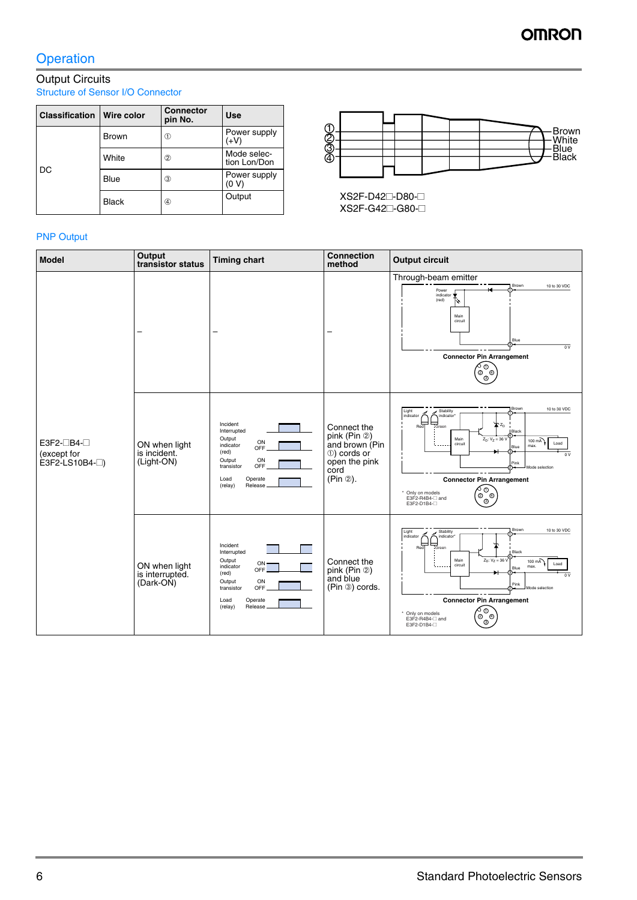## **Operation**

#### Output Circuits Structure of Sensor I/O Connector

| <b>Classification</b> | Wire color   | <b>Connector</b><br>pin No. | <b>Use</b>                  |
|-----------------------|--------------|-----------------------------|-----------------------------|
|                       | <b>Brown</b> | ⋒                           | Power supply<br>(+V)        |
| DC                    | White        | 2                           | Mode selec-<br>tion Lon/Don |
|                       | Blue         | 3                           | Power supply<br>(0 V)       |
|                       | <b>Black</b> | 4                           | Output                      |



XS2F-D42<sup>-D80-</sup> XS2F-G42<sup>-</sup>G80-<sup>1</sup>

#### PNP Output

| <b>Model</b>                                          | Output<br>transistor status                   | <b>Timing chart</b>                                                                                                                                | <b>Connection</b><br>method                                                                       | <b>Output circuit</b>                                                                                                                                                                                                                                                                                                                                                                                                                             |
|-------------------------------------------------------|-----------------------------------------------|----------------------------------------------------------------------------------------------------------------------------------------------------|---------------------------------------------------------------------------------------------------|---------------------------------------------------------------------------------------------------------------------------------------------------------------------------------------------------------------------------------------------------------------------------------------------------------------------------------------------------------------------------------------------------------------------------------------------------|
| E3F2-□B4-□<br>(except for<br>$E3F2-LS10B4$ - $\Box$ ) |                                               |                                                                                                                                                    |                                                                                                   | Through-beam emitter<br>Brown<br>10 to 30 VDC<br>Power<br>indicator $\bigstar$<br>(red)<br>H<br>Main<br>circuit<br>Blue<br>0V<br><b>Connector Pin Arrangement</b><br>∕ೄ<br>∖ಿ                                                                                                                                                                                                                                                                     |
|                                                       | ON when light<br>is incident.<br>(Light-ON)   | Incident<br>Interrupted<br>Output<br>ON<br>indicator<br>OFF<br>(red)<br>ON<br>Output<br>OFF<br>transistor<br>Load<br>Operate<br>(relay)<br>Release | Connect the<br>pink (Pin 2)<br>and brown (Pin<br>①) cords or<br>open the pink<br>cord<br>(Pin 2). | Brown<br>10 to 30 VDC<br>Light<br>Stability<br>indicator<br>indicator*<br>부<br>"Green<br><b>T</b> <sub>ZD</sub><br>Red<br>Black<br>$Z_D: V_Z = 36 V$<br>Main<br>$100 \text{ mA}$<br>Load<br>circuit<br>max.<br>Blue<br>$\overline{0}$ V<br>Pink<br>Mode selection<br><b>Connector Pin Arrangement</b><br>$\int_{\widehat{\mathcal{O}}_{\widehat{\mathcal{Q}}}^{\widehat{\mathcal{O}}}}^{0}J$<br>* Only on models<br>E3F2-R4B4-□ and<br>E3F2-D1B4- |
|                                                       | ON when light<br>is interrupted.<br>(Dark-ON) | Incident<br>Interrupted<br>Output<br>ON<br>indicator<br>OFF<br>(red)<br>Output<br>ON<br>OFF<br>transistor<br>Operate<br>Load<br>(relay)<br>Release | Connect the<br>pink (Pin 2)<br>and blue<br>(Pin 3) cords.                                         | Brown<br>10 to 30 VDC<br>Light<br>Stability<br>indicator<br>indicator <sup>®</sup><br>⊨<br>Red<br>Black<br>$Z_D: V_Z = 36 V$<br>Main<br>$100 \text{ mA}$<br>Load<br>circuit<br>max.<br>Blue<br>0V<br>Pink<br>Mode selection<br><b>Connector Pin Arrangement</b><br>ு⊙<br>* Only on models<br>಄ೢಁ<br>E3F2-R4B4-Cand<br>E3F2-D1B4-                                                                                                                  |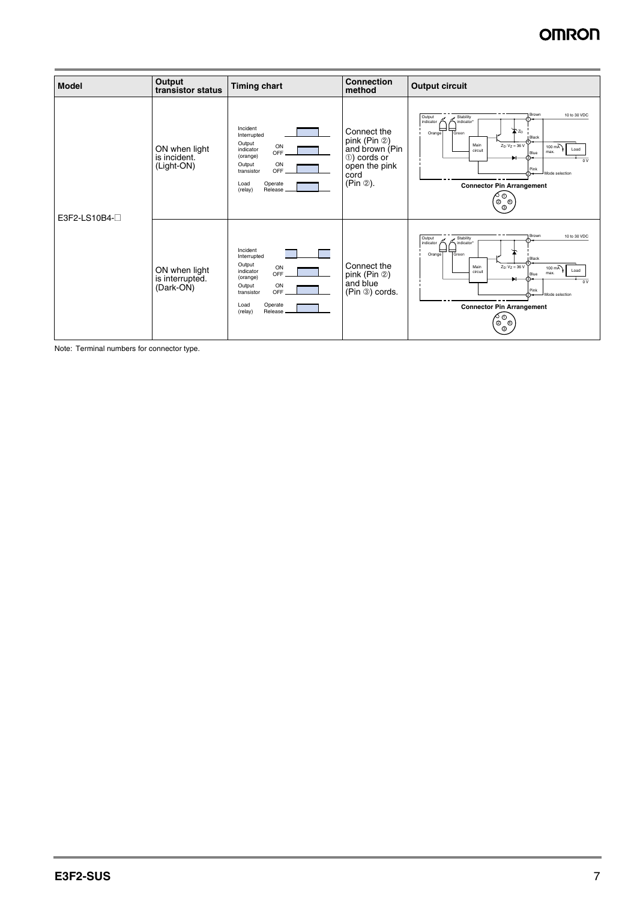| <b>Model</b>        | Output<br>transistor status                   | <b>Timing chart</b>                                                                                                                                   | <b>Connection</b><br>method                                                                                      | <b>Output circuit</b>                                                                                                                                                                                                                                                                                            |
|---------------------|-----------------------------------------------|-------------------------------------------------------------------------------------------------------------------------------------------------------|------------------------------------------------------------------------------------------------------------------|------------------------------------------------------------------------------------------------------------------------------------------------------------------------------------------------------------------------------------------------------------------------------------------------------------------|
| E3F2-LS10B4- $\Box$ | ON when light<br>is incident.<br>(Light-ON)   | Incident<br>Interrupted<br>Output<br>ON<br>indicator<br>OFF<br>(orange)<br>ON<br>Output<br>OFF<br>transistor<br>Operate<br>Load<br>Release<br>(relay) | Connect the<br>pink (Pin $\circledcirc$ )<br>and brown (Pin<br>10) cords or<br>open the pink<br>cord<br>(Pin 2). | Brown<br>10 to 30 VDC<br>Output<br>Stability<br>indicator<br>indicator<br>ᆖ<br>—<br>TGreen<br>$\sum Z_D$<br>Orange<br><b>Black</b><br>$Z_D: V_Z = 36 V$<br>Main<br>100 mA<br>Load<br>circuit<br>max.<br>Blue<br>$\overline{0V}$<br>Pink<br>Mode selection<br>∾∼<br><b>Connector Pin Arrangement</b><br>⊘ ⊘<br>಄಄ |
|                     | ON when light<br>is interrupted.<br>(Dark-ON) | Incident<br>Interrupted<br>Output<br>ON<br>indicator<br>OFF<br>(orange)<br>Output<br>ON<br>OFF<br>transistor<br>Operate<br>Load<br>Release<br>(relay) | Connect the<br>pink (Pin $\circledcirc$ )<br>and blue<br>(Pin 3) cords.                                          | Brown<br>10 to 30 VDC<br>Stability<br>Output<br>indicator<br>indicator<br>I<br>ᆖ<br>Green<br>Orange<br><b>Black</b><br>$Z_D: V_Z = 36 V$<br>Main<br>$100 \text{ mA}$<br>Load<br>circuit<br>max.<br>Blue<br>0V<br>Pink<br>Mode selection<br>⊙~<br><b>Connector Pin Arrangement</b><br>∧⊙<br>಄಄                    |

Note: Terminal numbers for connector type.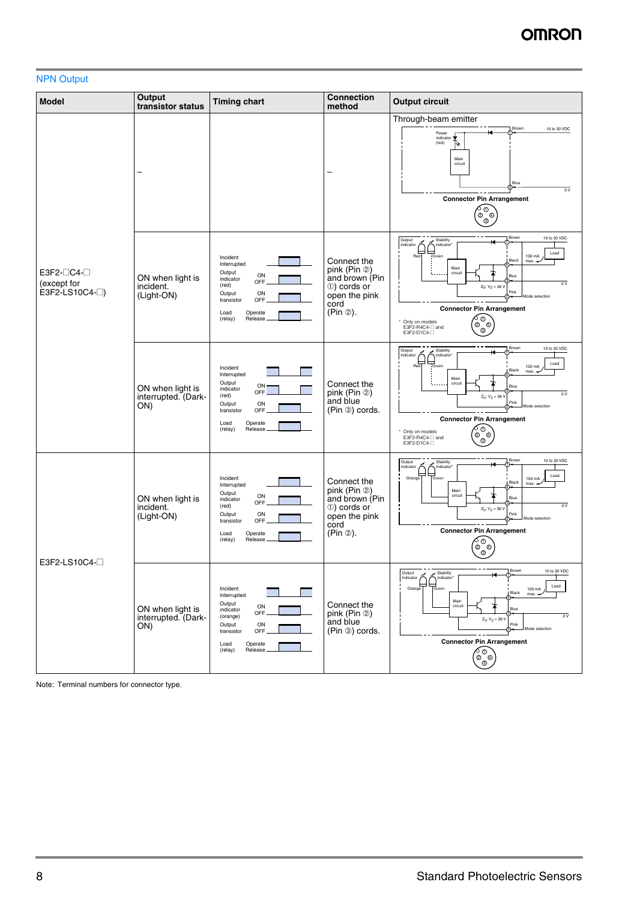#### NPN Output

| <b>Model</b>                                         | Output<br>transistor status                    | <b>Timing chart</b>                                                                                                                                   | <b>Connection</b><br>method                                                                        | <b>Output circuit</b>                                                                                                                                                                                                                                                                                                                                                                 |
|------------------------------------------------------|------------------------------------------------|-------------------------------------------------------------------------------------------------------------------------------------------------------|----------------------------------------------------------------------------------------------------|---------------------------------------------------------------------------------------------------------------------------------------------------------------------------------------------------------------------------------------------------------------------------------------------------------------------------------------------------------------------------------------|
| $E3F2-\Box C4-\Box$<br>(except for<br>$E3F2-LS10C4-$ |                                                |                                                                                                                                                       |                                                                                                    | Through-beam emitter<br>10 to 30 VDC<br>Brown<br>Power<br>indicator<br>(red)<br>M<br>Main<br>circuit<br>Blue<br>$\overline{ov}$<br><b>Connector Pin Arrangement</b><br>ර ⊙<br>⊚`<br>$^{\circ}$                                                                                                                                                                                        |
|                                                      | ON when light is<br>incident.<br>(Light-ON)    | Incident<br>Interrupted<br>Output<br>ON<br>indicator<br>OFF<br>(red)<br>Output<br>ON<br>OFF<br>transistor<br>Operate<br>Load<br>Release<br>(relay)    | Connect the<br>pink (Pin 2)<br>and brown (Pin<br>10) cords or<br>open the pink<br>cord<br>(Pin 2). | 10 to 30 VDC<br>Brown<br>Output<br>Stability<br>indicator<br>indicator<br>ᄇ<br>Load<br>100 mA<br>Red<br>Green<br>Black<br>max.<br>Main<br>circuit<br>Blue<br>$\overline{\circ v}$<br>$Z_D$ : $V_Z = 36$ V<br>Pink<br>Mode selection<br><b>Connector Pin Arrangement</b><br>ად<br>* Only on models<br>಄ೢಁ<br>E3F2-R4C4-□ and<br>E3F2-D1C4-                                             |
|                                                      | ON when light is<br>interrupted. (Dark-<br>ON) | Incident<br>Interrupted<br>Output<br>ON<br>indicator<br>OFF<br>(red)<br>Output<br>ON<br>OFF<br>transistor<br>Operate<br>Load<br>(relay)<br>Release    | Connect the<br>pink (Pin 2)<br>and blue<br>(Pin 3) cords.                                          | Brown<br>10 to 30 VDC<br>Output<br>Stability<br>indicator<br>indicator<br>$\overline{\text{Red} \vert}$<br>⊢<br>Load<br>100 mA<br>Green<br>Black<br>max. -<br>Main<br>circuit<br>Blue<br>0V<br>$Z_D$ : $V_Z = 36 V$<br>Pink<br>Mode selection<br><b>Connector Pin Arrangement</b><br>$\hat{\mathscr{E}}_{\text{out}}^{\text{out}}$<br>Only on models<br>E3F2-R4C4-□ and<br>E3F2-D1C4- |
| E3F2-LS10C4-                                         | ON when light is<br>incident.<br>(Light-ON)    | Incident<br>Interrupted<br>Output<br>ON<br>indicator<br>OFF<br>(red)<br>ON<br>Output<br>OFF<br>transistor<br>Operate<br>Load<br>(relay)<br>Release    | Connect the<br>pink (Pin 2)<br>and brown (Pin<br>10) cords or<br>open the pink<br>cord<br>(Pin 2). | 10 to 30 VDC<br>Brown<br>Output<br>Stability<br>indicator<br>indicator<br>Load<br>Orange<br>100 mA<br>Green<br>Black<br>$max. -$<br>Main<br>circuit<br>Blue<br>$\overline{0V}$<br>$Z_D: V_Z = 36 V$<br>Pink<br><b>Ande selection</b><br><b>Connector Pin Arrangement</b><br>ა დ<br>$\mathbb{Q}^{\oplus}$<br>⊚                                                                         |
|                                                      | ON when light is<br>interrupted. (Dark-<br>ON) | Incident<br>Interrupted<br>Output<br>ON<br>indicator<br>OFF<br>(orange)<br>Output<br>ON<br>OFF<br>transistor<br>Load<br>Operate<br>(relay)<br>Release | Connect the<br>pink (Pin $\circledcirc$ )<br>and blue<br>(Pin 3) cords.                            | 10 to 30 VDC<br>Brown<br>Stability<br>Output<br>indicator<br>indicator*<br>Load<br>Orange<br>Green<br>100 mA<br>Black<br>max.<br>Main<br>circuit<br>Blue<br>$\overline{ov}$<br>$Z_D: V_Z = 36 V$<br>Pink<br>Mode selection<br><b>Connector Pin Arrangement</b><br>∕⊙<br>∖®                                                                                                            |

Note: Terminal numbers for connector type.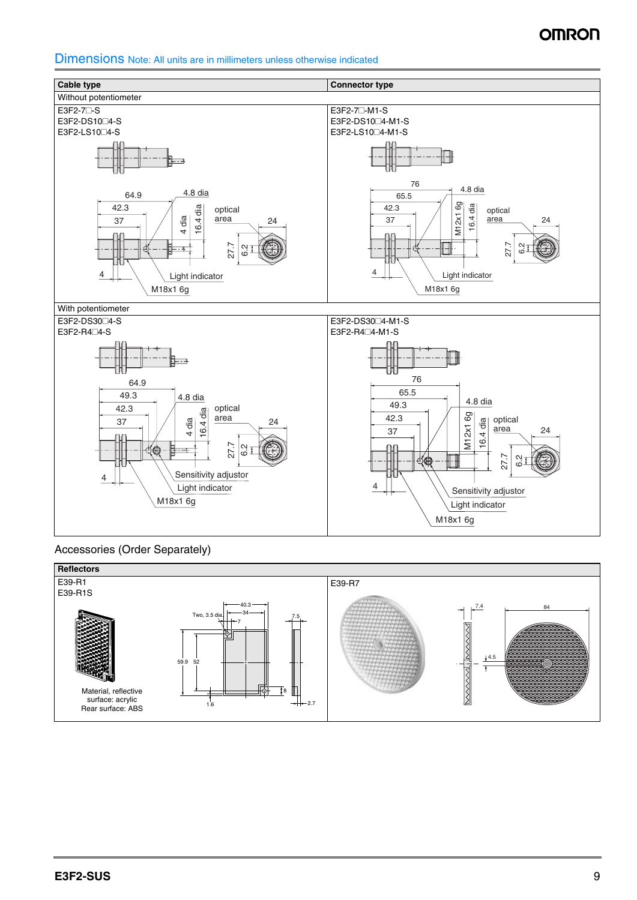Dimensions Note: All units are in millimeters unless otherwise indicated



Accessories (Order Separately)

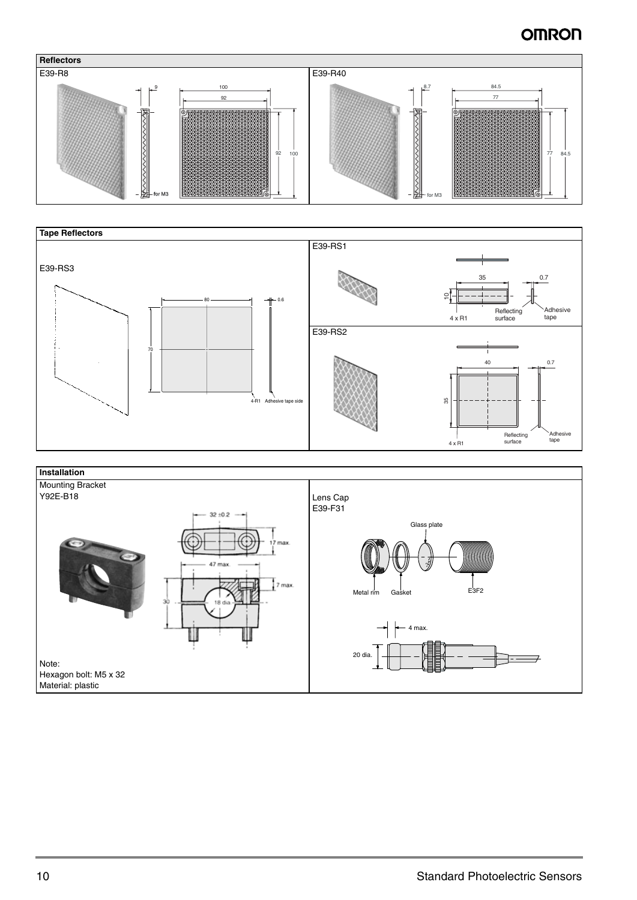



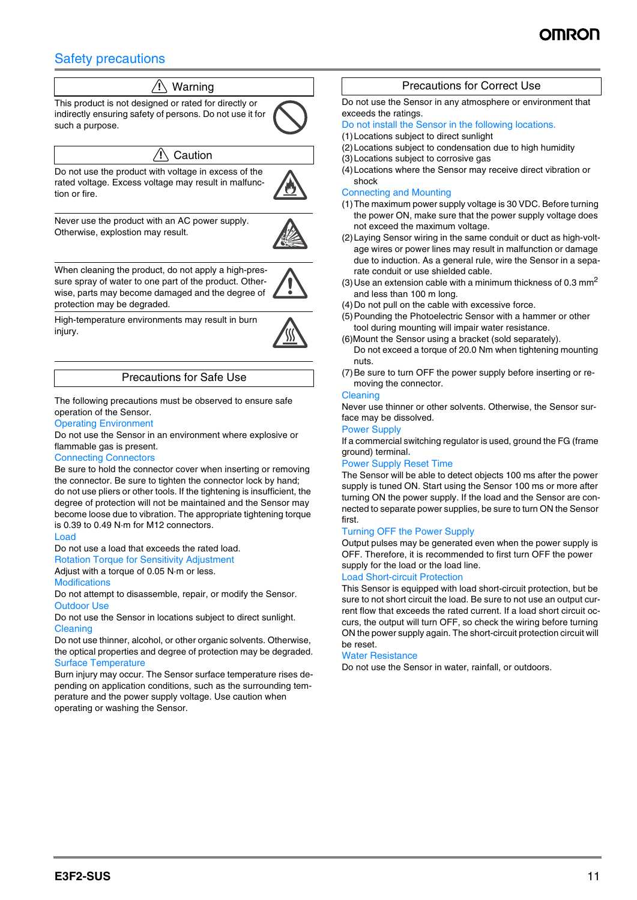## Safety precautions

## $\sqrt{N}$  Warning

This product is not designed or rated for directly or indirectly ensuring safety of persons. Do not use it for such a purpose.

#### $\wedge$  Caution

Do not use the product with voltage in excess of the rated voltage. Excess voltage may result in malfunction or fire.



Never use the product with an AC power supply. Otherwise, explostion may result.



When cleaning the product, do not apply a high-pressure spray of water to one part of the product. Otherwise, parts may become damaged and the degree of protection may be degraded.

High-temperature environments may result in burn injury.



#### Precautions for Safe Use

The following precautions must be observed to ensure safe operation of the Sensor.

#### Operating Environment

Do not use the Sensor in an environment where explosive or flammable gas is present.

#### Connecting Connectors

Be sure to hold the connector cover when inserting or removing the connector. Be sure to tighten the connector lock by hand; do not use pliers or other tools. If the tightening is insufficient, the degree of protection will not be maintained and the Sensor may become loose due to vibration. The appropriate tightening torque is 0.39 to 0.49 N·m for M12 connectors.

#### Load

Do not use a load that exceeds the rated load.

Rotation Torque for Sensitivity Adjustment Adjust with a torque of 0.05 N·m or less.

Modifications

Do not attempt to disassemble, repair, or modify the Sensor. Outdoor Use

Do not use the Sensor in locations subject to direct sunlight. **Cleaning** 

Do not use thinner, alcohol, or other organic solvents. Otherwise, the optical properties and degree of protection may be degraded. Surface Temperature

Burn injury may occur. The Sensor surface temperature rises depending on application conditions, such as the surrounding temperature and the power supply voltage. Use caution when operating or washing the Sensor.

#### Precautions for Correct Use

Do not use the Sensor in any atmosphere or environment that exceeds the ratings.

#### Do not install the Sensor in the following locations.

(1)Locations subject to direct sunlight

- (2)Locations subject to condensation due to high humidity
- (3)Locations subject to corrosive gas
- (4)Locations where the Sensor may receive direct vibration or shock

#### Connecting and Mounting

- (1)The maximum power supply voltage is 30 VDC. Before turning the power ON, make sure that the power supply voltage does not exceed the maximum voltage.
- (2)Laying Sensor wiring in the same conduit or duct as high-voltage wires or power lines may result in malfunction or damage due to induction. As a general rule, wire the Sensor in a separate conduit or use shielded cable.
- (3) Use an extension cable with a minimum thickness of 0.3  $mm<sup>2</sup>$ and less than 100 m long.
- (4)Do not pull on the cable with excessive force.
- (5)Pounding the Photoelectric Sensor with a hammer or other tool during mounting will impair water resistance.
- (6)Mount the Sensor using a bracket (sold separately).
- Do not exceed a torque of 20.0 Nm when tightening mounting nuts.
- (7)Be sure to turn OFF the power supply before inserting or removing the connector.

#### Cleaning

Never use thinner or other solvents. Otherwise, the Sensor surface may be dissolved.

#### Power Supply

If a commercial switching regulator is used, ground the FG (frame ground) terminal.

#### Power Supply Reset Time

The Sensor will be able to detect objects 100 ms after the power supply is tuned ON. Start using the Sensor 100 ms or more after turning ON the power supply. If the load and the Sensor are connected to separate power supplies, be sure to turn ON the Sensor first.

#### Turning OFF the Power Supply

Output pulses may be generated even when the power supply is OFF. Therefore, it is recommended to first turn OFF the power supply for the load or the load line.

#### Load Short-circuit Protection

This Sensor is equipped with load short-circuit protection, but be sure to not short circuit the load. Be sure to not use an output current flow that exceeds the rated current. If a load short circuit occurs, the output will turn OFF, so check the wiring before turning ON the power supply again. The short-circuit protection circuit will be reset.

#### Water Resistance

Do not use the Sensor in water, rainfall, or outdoors.